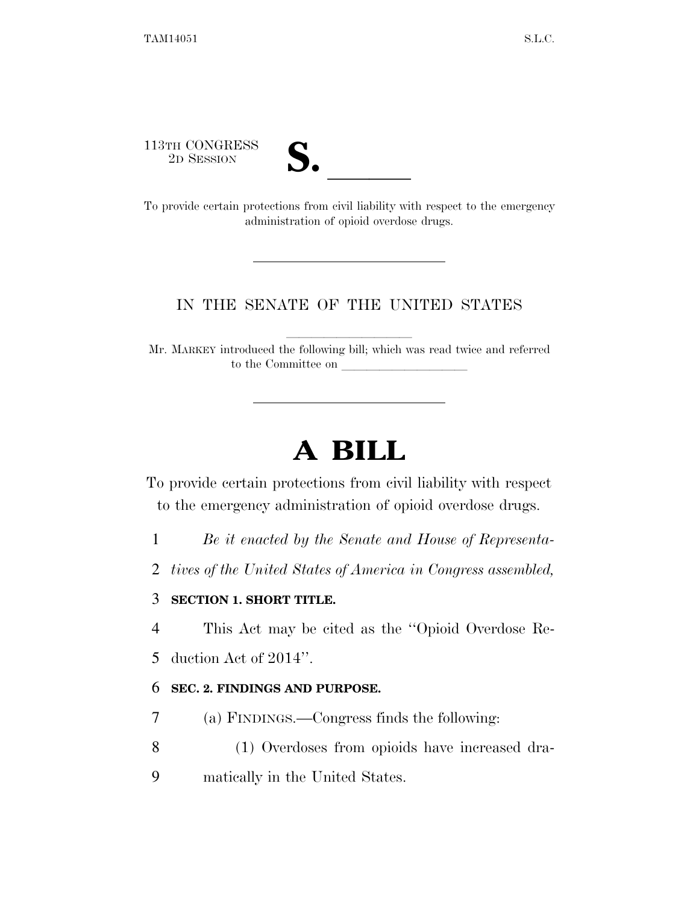113TH CONGRESS



113TH CONGRESS<br>
2D SESSION<br>
To provide certain protections from civil liability with respect to the emergency administration of opioid overdose drugs.

# IN THE SENATE OF THE UNITED STATES

Mr. MARKEY introduced the following bill; which was read twice and referred to the Committee on

# **A BILL**

To provide certain protections from civil liability with respect to the emergency administration of opioid overdose drugs.

1 *Be it enacted by the Senate and House of Representa-*

2 *tives of the United States of America in Congress assembled,* 

## 3 **SECTION 1. SHORT TITLE.**

4 This Act may be cited as the ''Opioid Overdose Re-

5 duction Act of 2014''.

## 6 **SEC. 2. FINDINGS AND PURPOSE.**

7 (a) FINDINGS.—Congress finds the following:

- 8 (1) Overdoses from opioids have increased dra-
- 9 matically in the United States.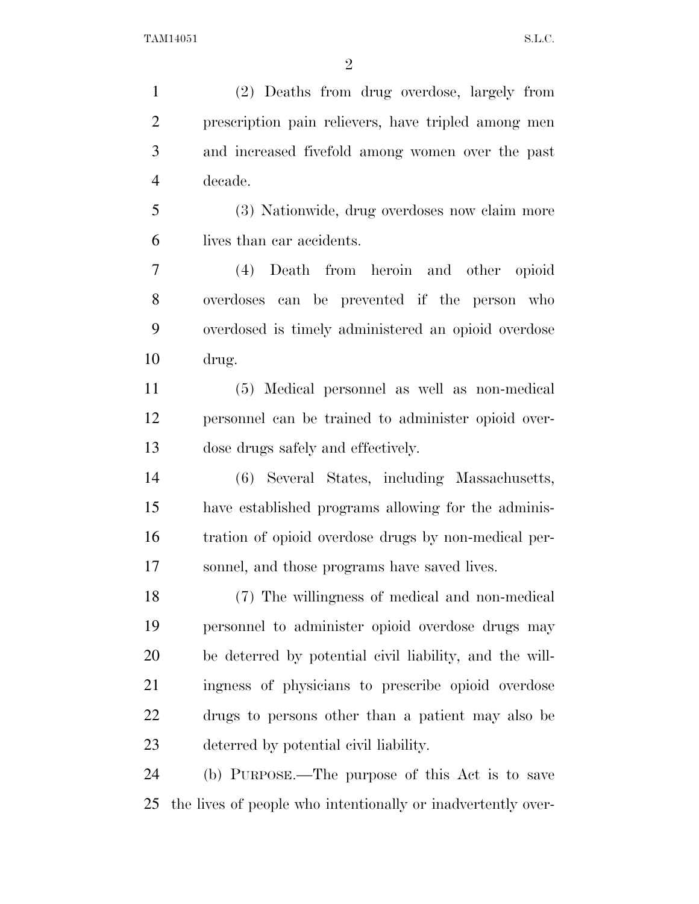(2) Deaths from drug overdose, largely from prescription pain relievers, have tripled among men and increased fivefold among women over the past decade. (3) Nationwide, drug overdoses now claim more lives than car accidents. (4) Death from heroin and other opioid overdoses can be prevented if the person who overdosed is timely administered an opioid overdose drug. (5) Medical personnel as well as non-medical personnel can be trained to administer opioid over-dose drugs safely and effectively.

 (6) Several States, including Massachusetts, have established programs allowing for the adminis- tration of opioid overdose drugs by non-medical per-sonnel, and those programs have saved lives.

 (7) The willingness of medical and non-medical personnel to administer opioid overdose drugs may be deterred by potential civil liability, and the will- ingness of physicians to prescribe opioid overdose drugs to persons other than a patient may also be deterred by potential civil liability.

 (b) PURPOSE.—The purpose of this Act is to save the lives of people who intentionally or inadvertently over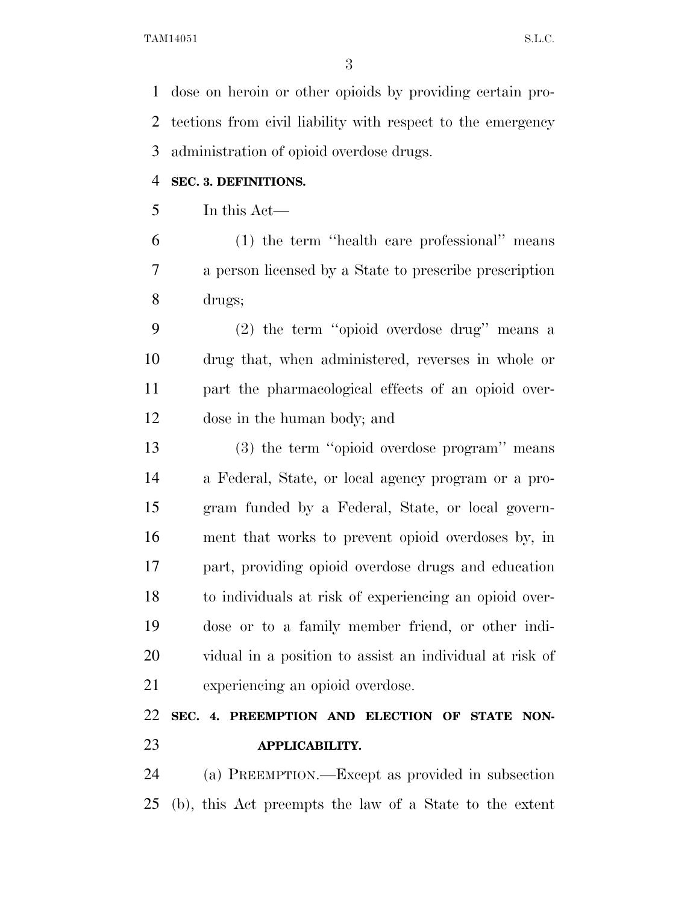dose on heroin or other opioids by providing certain pro- tections from civil liability with respect to the emergency administration of opioid overdose drugs.

#### **SEC. 3. DEFINITIONS.**

In this Act—

 (1) the term ''health care professional'' means a person licensed by a State to prescribe prescription drugs;

 (2) the term ''opioid overdose drug'' means a drug that, when administered, reverses in whole or part the pharmacological effects of an opioid over-dose in the human body; and

 (3) the term ''opioid overdose program'' means a Federal, State, or local agency program or a pro- gram funded by a Federal, State, or local govern- ment that works to prevent opioid overdoses by, in part, providing opioid overdose drugs and education to individuals at risk of experiencing an opioid over- dose or to a family member friend, or other indi- vidual in a position to assist an individual at risk of experiencing an opioid overdose.

# **SEC. 4. PREEMPTION AND ELECTION OF STATE NON-APPLICABILITY.**

 (a) PREEMPTION.—Except as provided in subsection (b), this Act preempts the law of a State to the extent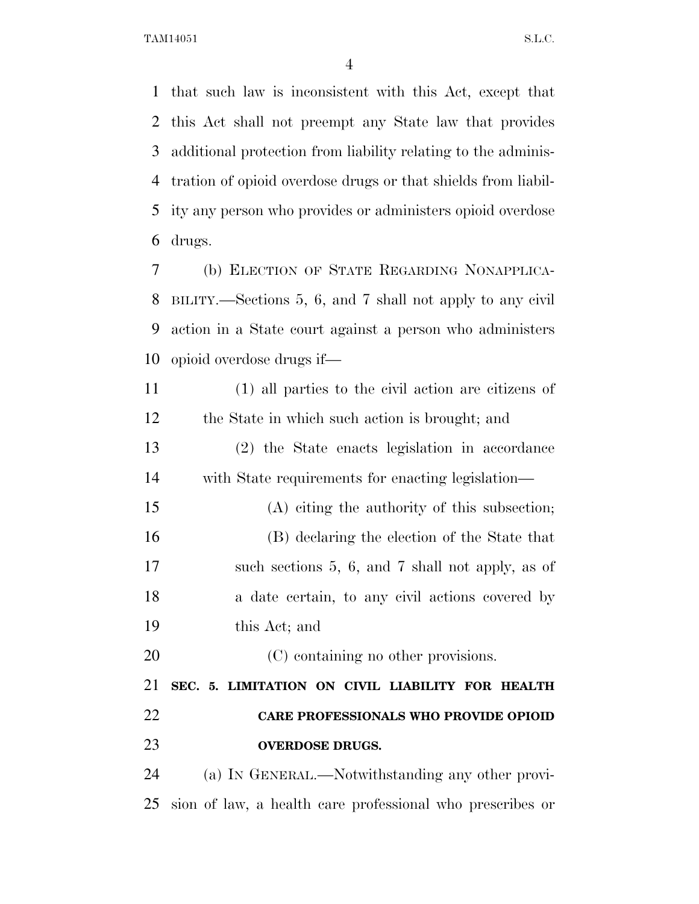TAM14051 S.L.C.

 that such law is inconsistent with this Act, except that this Act shall not preempt any State law that provides additional protection from liability relating to the adminis- tration of opioid overdose drugs or that shields from liabil- ity any person who provides or administers opioid overdose drugs.

 (b) ELECTION OF STATE REGARDING NONAPPLICA- BILITY.—Sections 5, 6, and 7 shall not apply to any civil action in a State court against a person who administers opioid overdose drugs if—

 (1) all parties to the civil action are citizens of the State in which such action is brought; and

 (2) the State enacts legislation in accordance with State requirements for enacting legislation—

 (A) citing the authority of this subsection; (B) declaring the election of the State that such sections 5, 6, and 7 shall not apply, as of 18 a date certain, to any civil actions covered by this Act; and

20 (C) containing no other provisions.

 **SEC. 5. LIMITATION ON CIVIL LIABILITY FOR HEALTH CARE PROFESSIONALS WHO PROVIDE OPIOID OVERDOSE DRUGS.** 

 (a) IN GENERAL.—Notwithstanding any other provi-sion of law, a health care professional who prescribes or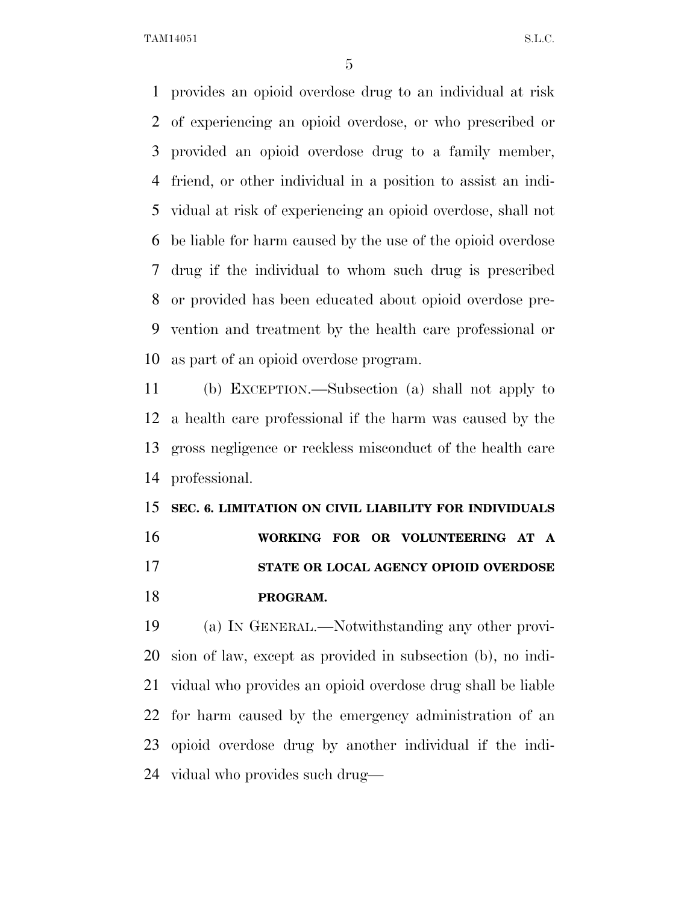TAM14051 S.L.C.

 provides an opioid overdose drug to an individual at risk of experiencing an opioid overdose, or who prescribed or provided an opioid overdose drug to a family member, friend, or other individual in a position to assist an indi- vidual at risk of experiencing an opioid overdose, shall not be liable for harm caused by the use of the opioid overdose drug if the individual to whom such drug is prescribed or provided has been educated about opioid overdose pre- vention and treatment by the health care professional or as part of an opioid overdose program.

 (b) EXCEPTION.—Subsection (a) shall not apply to a health care professional if the harm was caused by the gross negligence or reckless misconduct of the health care professional.

 **SEC. 6. LIMITATION ON CIVIL LIABILITY FOR INDIVIDUALS WORKING FOR OR VOLUNTEERING AT A STATE OR LOCAL AGENCY OPIOID OVERDOSE PROGRAM.** 

 (a) IN GENERAL.—Notwithstanding any other provi- sion of law, except as provided in subsection (b), no indi- vidual who provides an opioid overdose drug shall be liable for harm caused by the emergency administration of an opioid overdose drug by another individual if the indi-vidual who provides such drug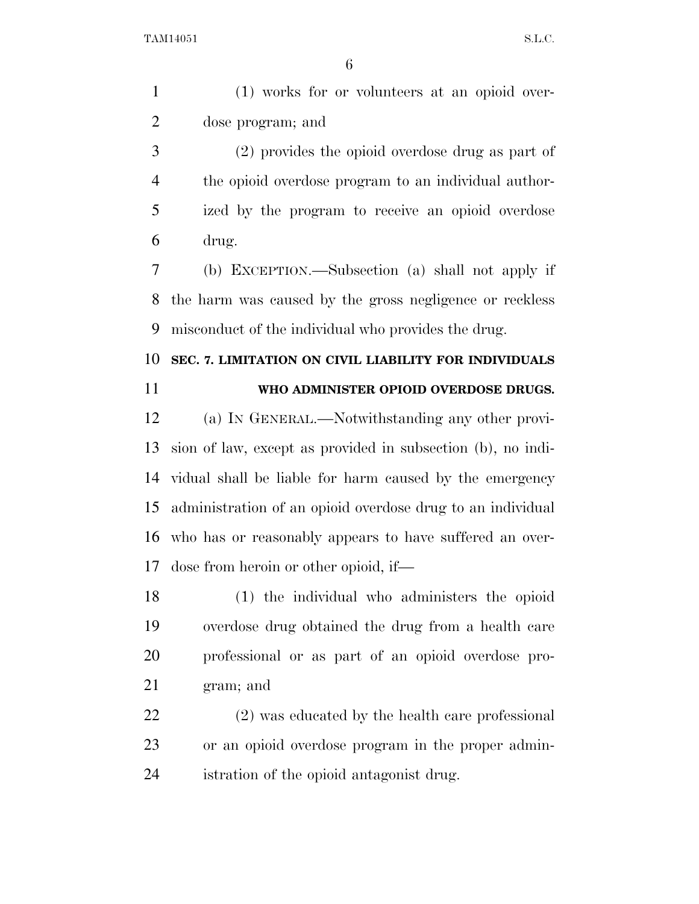(1) works for or volunteers at an opioid over-dose program; and

 (2) provides the opioid overdose drug as part of the opioid overdose program to an individual author- ized by the program to receive an opioid overdose drug.

 (b) EXCEPTION.—Subsection (a) shall not apply if the harm was caused by the gross negligence or reckless misconduct of the individual who provides the drug.

# **SEC. 7. LIMITATION ON CIVIL LIABILITY FOR INDIVIDUALS**

#### **WHO ADMINISTER OPIOID OVERDOSE DRUGS.**

 (a) IN GENERAL.—Notwithstanding any other provi- sion of law, except as provided in subsection (b), no indi- vidual shall be liable for harm caused by the emergency administration of an opioid overdose drug to an individual who has or reasonably appears to have suffered an over-dose from heroin or other opioid, if—

 (1) the individual who administers the opioid overdose drug obtained the drug from a health care professional or as part of an opioid overdose pro-gram; and

 (2) was educated by the health care professional or an opioid overdose program in the proper admin-istration of the opioid antagonist drug.